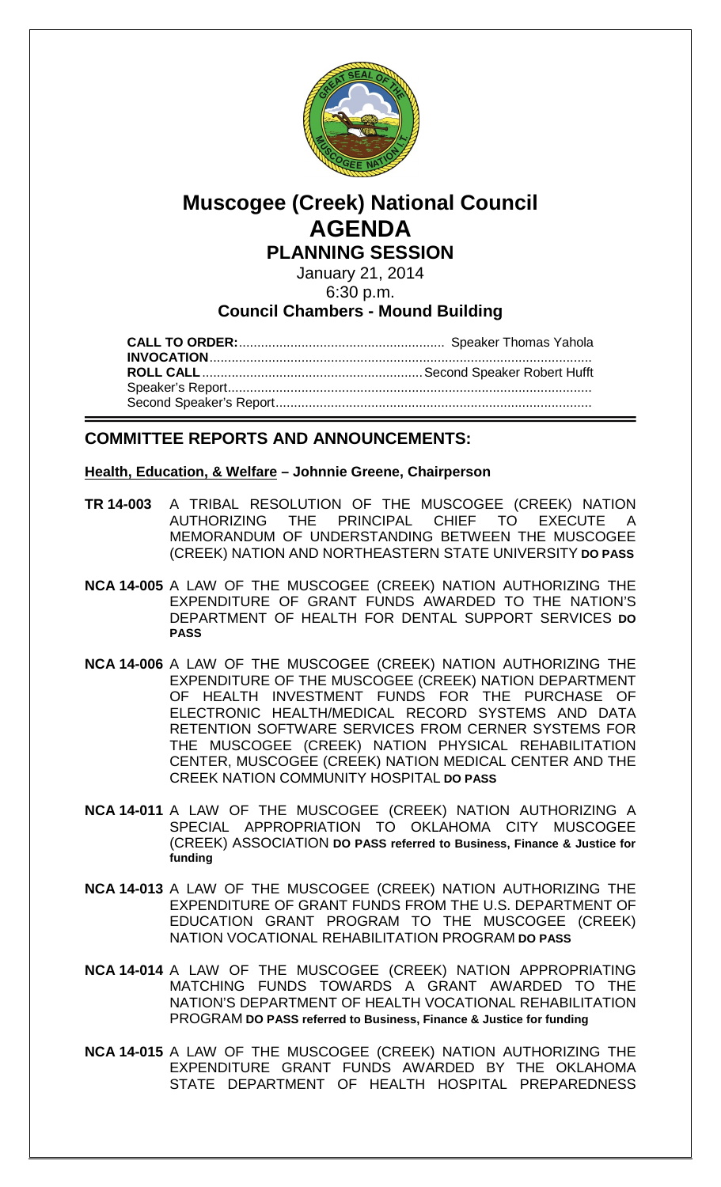

# **Muscogee (Creek) National Council AGENDA PLANNING SESSION**

January 21, 2014 6:30 p.m.

# **Council Chambers - Mound Building**

**CALL TO ORDER:**........................................................ Speaker Thomas Yahola **INVOCATION**........................................................................................................ **ROLL CALL**............................................................Second Speaker Robert Hufft Speaker's Report................................................................................................... Second Speaker's Report......................................................................................

# **COMMITTEE REPORTS AND ANNOUNCEMENTS:**

# **Health, Education, & Welfare – Johnnie Greene, Chairperson**

- **TR 14-003** A TRIBAL RESOLUTION OF THE MUSCOGEE (CREEK) NATION AUTHORIZING THE PRINCIPAL CHIEF TO EXECUTE MEMORANDUM OF UNDERSTANDING BETWEEN THE MUSCOGEE (CREEK) NATION AND NORTHEASTERN STATE UNIVERSITY **DO PASS**
- **NCA 14-005** A LAW OF THE MUSCOGEE (CREEK) NATION AUTHORIZING THE EXPENDITURE OF GRANT FUNDS AWARDED TO THE NATION'S DEPARTMENT OF HEALTH FOR DENTAL SUPPORT SERVICES **DO PASS**
- **NCA 14-006** A LAW OF THE MUSCOGEE (CREEK) NATION AUTHORIZING THE EXPENDITURE OF THE MUSCOGEE (CREEK) NATION DEPARTMENT OF HEALTH INVESTMENT FUNDS FOR THE PURCHASE OF ELECTRONIC HEALTH/MEDICAL RECORD SYSTEMS AND DATA RETENTION SOFTWARE SERVICES FROM CERNER SYSTEMS FOR THE MUSCOGEE (CREEK) NATION PHYSICAL REHABILITATION CENTER, MUSCOGEE (CREEK) NATION MEDICAL CENTER AND THE CREEK NATION COMMUNITY HOSPITAL **DO PASS**
- **NCA 14-011** A LAW OF THE MUSCOGEE (CREEK) NATION AUTHORIZING A SPECIAL APPROPRIATION TO OKLAHOMA CITY MUSCOGEE (CREEK) ASSOCIATION **DO PASS referred to Business, Finance & Justice for funding**
- **NCA 14-013** A LAW OF THE MUSCOGEE (CREEK) NATION AUTHORIZING THE EXPENDITURE OF GRANT FUNDS FROM THE U.S. DEPARTMENT OF EDUCATION GRANT PROGRAM TO THE MUSCOGEE (CREEK) NATION VOCATIONAL REHABILITATION PROGRAM **DO PASS**
- **NCA 14-014** A LAW OF THE MUSCOGEE (CREEK) NATION APPROPRIATING MATCHING FUNDS TOWARDS A GRANT AWARDED TO THE NATION'S DEPARTMENT OF HEALTH VOCATIONAL REHABILITATION PROGRAM **DO PASS referred to Business, Finance & Justice for funding**
- **NCA 14-015** A LAW OF THE MUSCOGEE (CREEK) NATION AUTHORIZING THE EXPENDITURE GRANT FUNDS AWARDED BY THE OKLAHOMA STATE DEPARTMENT OF HEALTH HOSPITAL PREPAREDNESS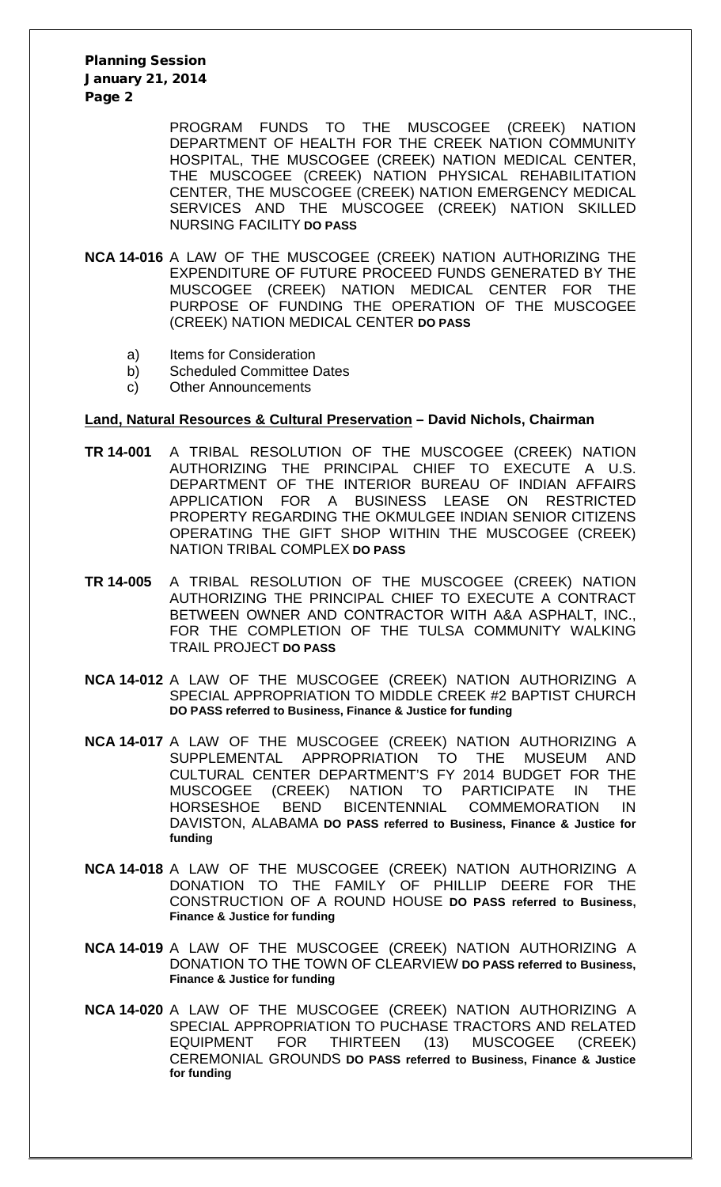Planning Session January 21, 2014 Page 2

> PROGRAM FUNDS TO THE MUSCOGEE (CREEK) NATION DEPARTMENT OF HEALTH FOR THE CREEK NATION COMMUNITY HOSPITAL, THE MUSCOGEE (CREEK) NATION MEDICAL CENTER, THE MUSCOGEE (CREEK) NATION PHYSICAL REHABILITATION CENTER, THE MUSCOGEE (CREEK) NATION EMERGENCY MEDICAL SERVICES AND THE MUSCOGEE (CREEK) NATION SKILLED NURSING FACILITY **DO PASS**

- **NCA 14-016** A LAW OF THE MUSCOGEE (CREEK) NATION AUTHORIZING THE EXPENDITURE OF FUTURE PROCEED FUNDS GENERATED BY THE MUSCOGEE (CREEK) NATION MEDICAL CENTER FOR THE PURPOSE OF FUNDING THE OPERATION OF THE MUSCOGEE (CREEK) NATION MEDICAL CENTER **DO PASS**
	- a) Items for Consideration
	- b) Scheduled Committee Dates
	- c) Other Announcements

#### **Land, Natural Resources & Cultural Preservation – David Nichols, Chairman**

- **TR 14-001** A TRIBAL RESOLUTION OF THE MUSCOGEE (CREEK) NATION AUTHORIZING THE PRINCIPAL CHIEF TO EXECUTE A U.S. DEPARTMENT OF THE INTERIOR BUREAU OF INDIAN AFFAIRS APPLICATION FOR A BUSINESS LEASE ON RESTRICTED PROPERTY REGARDING THE OKMULGEE INDIAN SENIOR CITIZENS OPERATING THE GIFT SHOP WITHIN THE MUSCOGEE (CREEK) NATION TRIBAL COMPLEX **DO PASS**
- **TR 14-005** A TRIBAL RESOLUTION OF THE MUSCOGEE (CREEK) NATION AUTHORIZING THE PRINCIPAL CHIEF TO EXECUTE A CONTRACT BETWEEN OWNER AND CONTRACTOR WITH A&A ASPHALT, INC., FOR THE COMPLETION OF THE TULSA COMMUNITY WALKING TRAIL PROJECT **DO PASS**
- **NCA 14-012** A LAW OF THE MUSCOGEE (CREEK) NATION AUTHORIZING A SPECIAL APPROPRIATION TO MIDDLE CREEK #2 BAPTIST CHURCH **DO PASS referred to Business, Finance & Justice for funding**
- **NCA 14-017** A LAW OF THE MUSCOGEE (CREEK) NATION AUTHORIZING A SUPPLEMENTAL APPROPRIATION TO THE MUSEUM AND CULTURAL CENTER DEPARTMENT'S FY 2014 BUDGET FOR THE MUSCOGEE (CREEK) NATION TO PARTICIPATE IN THE (CREEK) NATION TO PARTICIPATE IN THE HORSESHOE BEND BICENTENNIAL COMMEMORATION IN DAVISTON, ALABAMA **DO PASS referred to Business, Finance & Justice for funding**
- **NCA 14-018** A LAW OF THE MUSCOGEE (CREEK) NATION AUTHORIZING A DONATION TO THE FAMILY OF PHILLIP DEERE FOR THE CONSTRUCTION OF A ROUND HOUSE **DO PASS referred to Business, Finance & Justice for funding**
- **NCA 14-019** A LAW OF THE MUSCOGEE (CREEK) NATION AUTHORIZING A DONATION TO THE TOWN OF CLEARVIEW **DO PASS referred to Business, Finance & Justice for funding**
- **NCA 14-020** A LAW OF THE MUSCOGEE (CREEK) NATION AUTHORIZING A SPECIAL APPROPRIATION TO PUCHASE TRACTORS AND RELATED EQUIPMENT FOR THIRTEEN (13) MUSCOGEE (CREEK) CEREMONIAL GROUNDS **DO PASS referred to Business, Finance & Justice for funding**